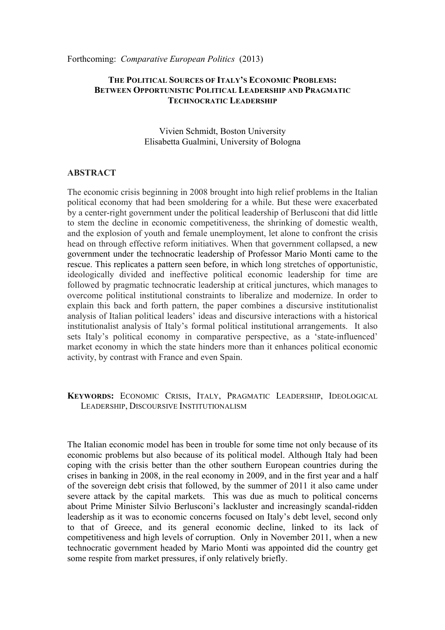Forthcoming: *Comparative European Politics* (2013)

## **THE POLITICAL SOURCES OF ITALY'S ECONOMIC PROBLEMS: BETWEEN OPPORTUNISTIC POLITICAL LEADERSHIP AND PRAGMATIC TECHNOCRATIC LEADERSHIP**

Vivien Schmidt, Boston University Elisabetta Gualmini, University of Bologna

#### **ABSTRACT**

The economic crisis beginning in 2008 brought into high relief problems in the Italian political economy that had been smoldering for a while. But these were exacerbated by a center-right government under the political leadership of Berlusconi that did little to stem the decline in economic competitiveness, the shrinking of domestic wealth, and the explosion of youth and female unemployment, let alone to confront the crisis head on through effective reform initiatives. When that government collapsed, a new government under the technocratic leadership of Professor Mario Monti came to the rescue. This replicates a pattern seen before, in which long stretches of opportunistic, ideologically divided and ineffective political economic leadership for time are followed by pragmatic technocratic leadership at critical junctures, which manages to overcome political institutional constraints to liberalize and modernize. In order to explain this back and forth pattern, the paper combines a discursive institutionalist analysis of Italian political leaders' ideas and discursive interactions with a historical institutionalist analysis of Italy's formal political institutional arrangements. It also sets Italy's political economy in comparative perspective, as a 'state-influenced' market economy in which the state hinders more than it enhances political economic activity, by contrast with France and even Spain.

## **KEYWORDS:** ECONOMIC CRISIS, ITALY, PRAGMATIC LEADERSHIP, IDEOLOGICAL LEADERSHIP, DISCOURSIVE INSTITUTIONALISM

The Italian economic model has been in trouble for some time not only because of its economic problems but also because of its political model. Although Italy had been coping with the crisis better than the other southern European countries during the crises in banking in 2008, in the real economy in 2009, and in the first year and a half of the sovereign debt crisis that followed, by the summer of 2011 it also came under severe attack by the capital markets. This was due as much to political concerns about Prime Minister Silvio Berlusconi's lackluster and increasingly scandal-ridden leadership as it was to economic concerns focused on Italy's debt level, second only to that of Greece, and its general economic decline, linked to its lack of competitiveness and high levels of corruption. Only in November 2011, when a new technocratic government headed by Mario Monti was appointed did the country get some respite from market pressures, if only relatively briefly.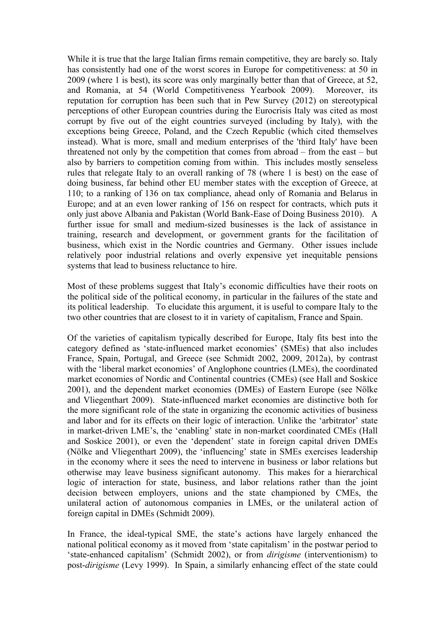While it is true that the large Italian firms remain competitive, they are barely so. Italy has consistently had one of the worst scores in Europe for competitiveness: at 50 in 2009 (where 1 is best), its score was only marginally better than that of Greece, at 52, and Romania, at 54 (World Competitiveness Yearbook 2009). Moreover, its reputation for corruption has been such that in Pew Survey (2012) on stereotypical perceptions of other European countries during the Eurocrisis Italy was cited as most corrupt by five out of the eight countries surveyed (including by Italy), with the exceptions being Greece, Poland, and the Czech Republic (which cited themselves instead). What is more, small and medium enterprises of the 'third Italy' have been threatened not only by the competition that comes from abroad – from the east – but also by barriers to competition coming from within. This includes mostly senseless rules that relegate Italy to an overall ranking of 78 (where 1 is best) on the ease of doing business, far behind other EU member states with the exception of Greece, at 110; to a ranking of 136 on tax compliance, ahead only of Romania and Belarus in Europe; and at an even lower ranking of 156 on respect for contracts, which puts it only just above Albania and Pakistan (World Bank-Ease of Doing Business 2010). A further issue for small and medium-sized businesses is the lack of assistance in training, research and development, or government grants for the facilitation of business, which exist in the Nordic countries and Germany. Other issues include relatively poor industrial relations and overly expensive yet inequitable pensions systems that lead to business reluctance to hire.

Most of these problems suggest that Italy's economic difficulties have their roots on the political side of the political economy, in particular in the failures of the state and its political leadership. To elucidate this argument, it is useful to compare Italy to the two other countries that are closest to it in variety of capitalism, France and Spain.

Of the varieties of capitalism typically described for Europe, Italy fits best into the category defined as 'state-influenced market economies' (SMEs) that also includes France, Spain, Portugal, and Greece (see Schmidt 2002, 2009, 2012a), by contrast with the 'liberal market economies' of Anglophone countries (LMEs), the coordinated market economies of Nordic and Continental countries (CMEs) (see Hall and Soskice 2001), and the dependent market economies (DMEs) of Eastern Europe (see Nölke and Vliegenthart 2009). State-influenced market economies are distinctive both for the more significant role of the state in organizing the economic activities of business and labor and for its effects on their logic of interaction. Unlike the 'arbitrator' state in market-driven LME's, the 'enabling' state in non-market coordinated CMEs (Hall and Soskice 2001), or even the 'dependent' state in foreign capital driven DMEs (Nölke and Vliegenthart 2009), the 'influencing' state in SMEs exercises leadership in the economy where it sees the need to intervene in business or labor relations but otherwise may leave business significant autonomy. This makes for a hierarchical logic of interaction for state, business, and labor relations rather than the joint decision between employers, unions and the state championed by CMEs, the unilateral action of autonomous companies in LMEs, or the unilateral action of foreign capital in DMEs (Schmidt 2009).

In France, the ideal-typical SME, the state's actions have largely enhanced the national political economy as it moved from 'state capitalism' in the postwar period to 'state-enhanced capitalism' (Schmidt 2002), or from *dirigisme* (interventionism) to post-*dirigisme* (Levy 1999). In Spain, a similarly enhancing effect of the state could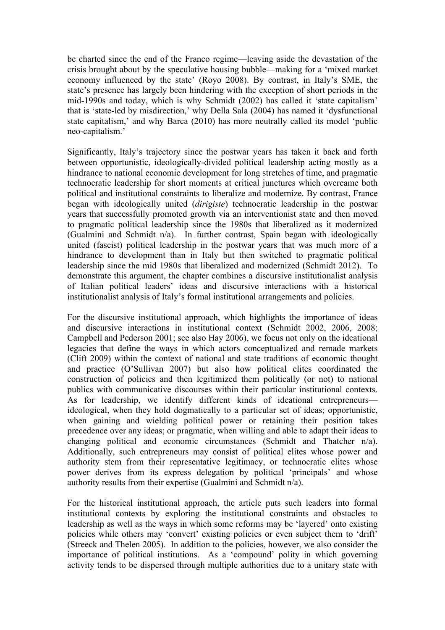be charted since the end of the Franco regime—leaving aside the devastation of the crisis brought about by the speculative housing bubble—making for a 'mixed market economy influenced by the state' (Royo 2008). By contrast, in Italy's SME, the state's presence has largely been hindering with the exception of short periods in the mid-1990s and today, which is why Schmidt (2002) has called it 'state capitalism' that is 'state-led by misdirection,' why Della Sala (2004) has named it 'dysfunctional state capitalism,' and why Barca (2010) has more neutrally called its model 'public neo-capitalism.'

Significantly, Italy's trajectory since the postwar years has taken it back and forth between opportunistic, ideologically-divided political leadership acting mostly as a hindrance to national economic development for long stretches of time, and pragmatic technocratic leadership for short moments at critical junctures which overcame both political and institutional constraints to liberalize and modernize. By contrast, France began with ideologically united (*dirigiste*) technocratic leadership in the postwar years that successfully promoted growth via an interventionist state and then moved to pragmatic political leadership since the 1980s that liberalized as it modernized (Gualmini and Schmidt n/a). In further contrast, Spain began with ideologically united (fascist) political leadership in the postwar years that was much more of a hindrance to development than in Italy but then switched to pragmatic political leadership since the mid 1980s that liberalized and modernized (Schmidt 2012). To demonstrate this argument, the chapter combines a discursive institutionalist analysis of Italian political leaders' ideas and discursive interactions with a historical institutionalist analysis of Italy's formal institutional arrangements and policies.

For the discursive institutional approach, which highlights the importance of ideas and discursive interactions in institutional context (Schmidt 2002, 2006, 2008; Campbell and Pederson 2001; see also Hay 2006), we focus not only on the ideational legacies that define the ways in which actors conceptualized and remade markets (Clift 2009) within the context of national and state traditions of economic thought and practice (O'Sullivan 2007) but also how political elites coordinated the construction of policies and then legitimized them politically (or not) to national publics with communicative discourses within their particular institutional contexts. As for leadership, we identify different kinds of ideational entrepreneurs ideological, when they hold dogmatically to a particular set of ideas; opportunistic, when gaining and wielding political power or retaining their position takes precedence over any ideas; or pragmatic, when willing and able to adapt their ideas to changing political and economic circumstances (Schmidt and Thatcher n/a). Additionally, such entrepreneurs may consist of political elites whose power and authority stem from their representative legitimacy, or technocratic elites whose power derives from its express delegation by political 'principals' and whose authority results from their expertise (Gualmini and Schmidt n/a).

For the historical institutional approach, the article puts such leaders into formal institutional contexts by exploring the institutional constraints and obstacles to leadership as well as the ways in which some reforms may be 'layered' onto existing policies while others may 'convert' existing policies or even subject them to 'drift' (Streeck and Thelen 2005). In addition to the policies, however, we also consider the importance of political institutions. As a 'compound' polity in which governing activity tends to be dispersed through multiple authorities due to a unitary state with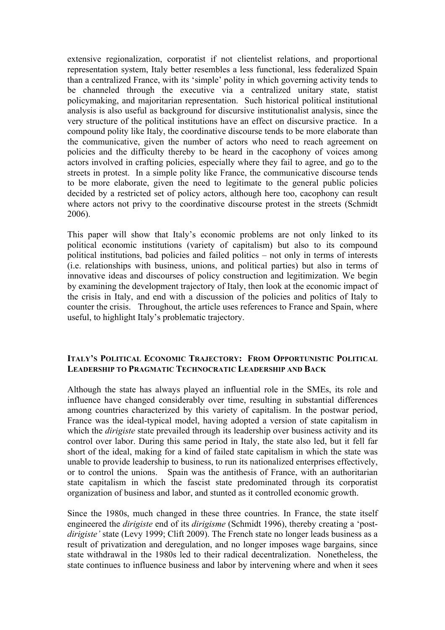extensive regionalization, corporatist if not clientelist relations, and proportional representation system, Italy better resembles a less functional, less federalized Spain than a centralized France, with its 'simple' polity in which governing activity tends to be channeled through the executive via a centralized unitary state, statist policymaking, and majoritarian representation. Such historical political institutional analysis is also useful as background for discursive institutionalist analysis, since the very structure of the political institutions have an effect on discursive practice. In a compound polity like Italy, the coordinative discourse tends to be more elaborate than the communicative, given the number of actors who need to reach agreement on policies and the difficulty thereby to be heard in the cacophony of voices among actors involved in crafting policies, especially where they fail to agree, and go to the streets in protest. In a simple polity like France, the communicative discourse tends to be more elaborate, given the need to legitimate to the general public policies decided by a restricted set of policy actors, although here too, cacophony can result where actors not privy to the coordinative discourse protest in the streets (Schmidt 2006).

This paper will show that Italy's economic problems are not only linked to its political economic institutions (variety of capitalism) but also to its compound political institutions, bad policies and failed politics – not only in terms of interests (i.e. relationships with business, unions, and political parties) but also in terms of innovative ideas and discourses of policy construction and legitimization. We begin by examining the development trajectory of Italy, then look at the economic impact of the crisis in Italy, and end with a discussion of the policies and politics of Italy to counter the crisis. Throughout, the article uses references to France and Spain, where useful, to highlight Italy's problematic trajectory.

# **ITALY'S POLITICAL ECONOMIC TRAJECTORY: FROM OPPORTUNISTIC POLITICAL LEADERSHIP TO PRAGMATIC TECHNOCRATIC LEADERSHIP AND BACK**

Although the state has always played an influential role in the SMEs, its role and influence have changed considerably over time, resulting in substantial differences among countries characterized by this variety of capitalism. In the postwar period, France was the ideal-typical model, having adopted a version of state capitalism in which the *dirigiste* state prevailed through its leadership over business activity and its control over labor. During this same period in Italy, the state also led, but it fell far short of the ideal, making for a kind of failed state capitalism in which the state was unable to provide leadership to business, to run its nationalized enterprises effectively, or to control the unions. Spain was the antithesis of France, with an authoritarian state capitalism in which the fascist state predominated through its corporatist organization of business and labor, and stunted as it controlled economic growth.

Since the 1980s, much changed in these three countries. In France, the state itself engineered the *dirigiste* end of its *dirigisme* (Schmidt 1996), thereby creating a 'post*dirigiste'* state (Levy 1999; Clift 2009). The French state no longer leads business as a result of privatization and deregulation, and no longer imposes wage bargains, since state withdrawal in the 1980s led to their radical decentralization. Nonetheless, the state continues to influence business and labor by intervening where and when it sees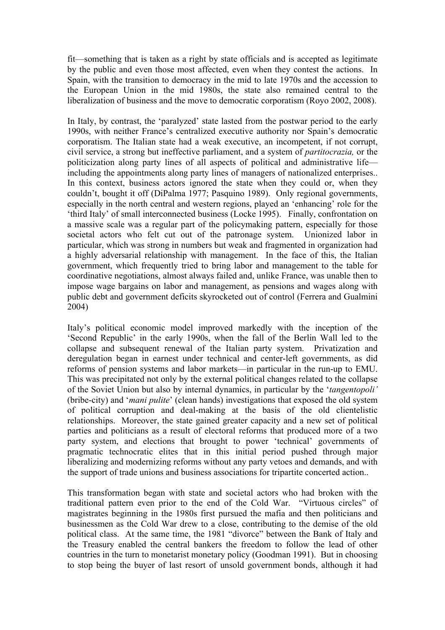fit—something that is taken as a right by state officials and is accepted as legitimate by the public and even those most affected, even when they contest the actions. In Spain, with the transition to democracy in the mid to late 1970s and the accession to the European Union in the mid 1980s, the state also remained central to the liberalization of business and the move to democratic corporatism (Royo 2002, 2008).

In Italy, by contrast, the 'paralyzed' state lasted from the postwar period to the early 1990s, with neither France's centralized executive authority nor Spain's democratic corporatism. The Italian state had a weak executive, an incompetent, if not corrupt, civil service, a strong but ineffective parliament, and a system of *partitocrazia,* or the politicization along party lines of all aspects of political and administrative life including the appointments along party lines of managers of nationalized enterprises.. In this context, business actors ignored the state when they could or, when they couldn't, bought it off (DiPalma 1977; Pasquino 1989). Only regional governments, especially in the north central and western regions, played an 'enhancing' role for the 'third Italy' of small interconnected business (Locke 1995). Finally, confrontation on a massive scale was a regular part of the policymaking pattern, especially for those societal actors who felt cut out of the patronage system. Unionized labor in particular, which was strong in numbers but weak and fragmented in organization had a highly adversarial relationship with management. In the face of this, the Italian government, which frequently tried to bring labor and management to the table for coordinative negotiations, almost always failed and, unlike France, was unable then to impose wage bargains on labor and management, as pensions and wages along with public debt and government deficits skyrocketed out of control (Ferrera and Gualmini 2004)

Italy's political economic model improved markedly with the inception of the 'Second Republic' in the early 1990s, when the fall of the Berlin Wall led to the collapse and subsequent renewal of the Italian party system. Privatization and deregulation began in earnest under technical and center-left governments, as did reforms of pension systems and labor markets—in particular in the run-up to EMU. This was precipitated not only by the external political changes related to the collapse of the Soviet Union but also by internal dynamics, in particular by the '*tangentopoli'* (bribe-city) and '*mani pulite*' (clean hands) investigations that exposed the old system of political corruption and deal-making at the basis of the old clientelistic relationships. Moreover, the state gained greater capacity and a new set of political parties and politicians as a result of electoral reforms that produced more of a two party system, and elections that brought to power 'technical' governments of pragmatic technocratic elites that in this initial period pushed through major liberalizing and modernizing reforms without any party vetoes and demands, and with the support of trade unions and business associations for tripartite concerted action..

This transformation began with state and societal actors who had broken with the traditional pattern even prior to the end of the Cold War. "Virtuous circles" of magistrates beginning in the 1980s first pursued the mafia and then politicians and businessmen as the Cold War drew to a close, contributing to the demise of the old political class. At the same time, the 1981 "divorce" between the Bank of Italy and the Treasury enabled the central bankers the freedom to follow the lead of other countries in the turn to monetarist monetary policy (Goodman 1991). But in choosing to stop being the buyer of last resort of unsold government bonds, although it had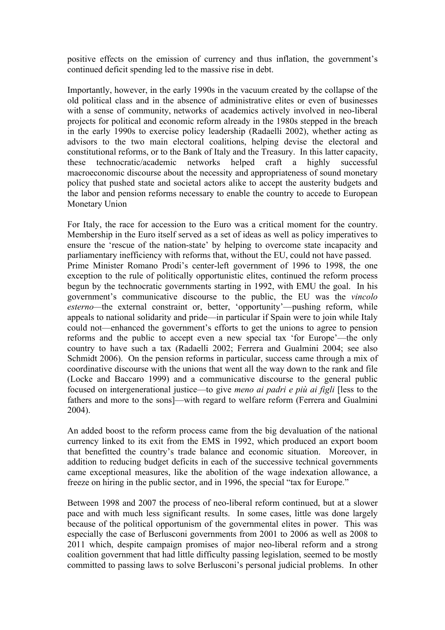positive effects on the emission of currency and thus inflation, the government's continued deficit spending led to the massive rise in debt.

Importantly, however, in the early 1990s in the vacuum created by the collapse of the old political class and in the absence of administrative elites or even of businesses with a sense of community, networks of academics actively involved in neo-liberal projects for political and economic reform already in the 1980s stepped in the breach in the early 1990s to exercise policy leadership (Radaelli 2002), whether acting as advisors to the two main electoral coalitions, helping devise the electoral and constitutional reforms, or to the Bank of Italy and the Treasury. In this latter capacity, these technocratic/academic networks helped craft a highly successful macroeconomic discourse about the necessity and appropriateness of sound monetary policy that pushed state and societal actors alike to accept the austerity budgets and the labor and pension reforms necessary to enable the country to accede to European Monetary Union

For Italy, the race for accession to the Euro was a critical moment for the country. Membership in the Euro itself served as a set of ideas as well as policy imperatives to ensure the 'rescue of the nation-state' by helping to overcome state incapacity and parliamentary inefficiency with reforms that, without the EU, could not have passed. Prime Minister Romano Prodi's center-left government of 1996 to 1998, the one exception to the rule of politically opportunistic elites, continued the reform process begun by the technocratic governments starting in 1992, with EMU the goal. In his government's communicative discourse to the public, the EU was the *vincolo esterno—*the external constraint or, better, 'opportunity'—pushing reform, while appeals to national solidarity and pride—in particular if Spain were to join while Italy could not—enhanced the government's efforts to get the unions to agree to pension reforms and the public to accept even a new special tax 'for Europe'—the only country to have such a tax (Radaelli 2002; Ferrera and Gualmini 2004; see also Schmidt 2006). On the pension reforms in particular, success came through a mix of coordinative discourse with the unions that went all the way down to the rank and file (Locke and Baccaro 1999) and a communicative discourse to the general public focused on intergenerational justice—to give *meno ai padri e più ai figli* [less to the fathers and more to the sons]—with regard to welfare reform (Ferrera and Gualmini 2004).

An added boost to the reform process came from the big devaluation of the national currency linked to its exit from the EMS in 1992, which produced an export boom that benefitted the country's trade balance and economic situation. Moreover, in addition to reducing budget deficits in each of the successive technical governments came exceptional measures, like the abolition of the wage indexation allowance, a freeze on hiring in the public sector, and in 1996, the special "tax for Europe."

Between 1998 and 2007 the process of neo-liberal reform continued, but at a slower pace and with much less significant results. In some cases, little was done largely because of the political opportunism of the governmental elites in power. This was especially the case of Berlusconi governments from 2001 to 2006 as well as 2008 to 2011 which, despite campaign promises of major neo-liberal reform and a strong coalition government that had little difficulty passing legislation, seemed to be mostly committed to passing laws to solve Berlusconi's personal judicial problems. In other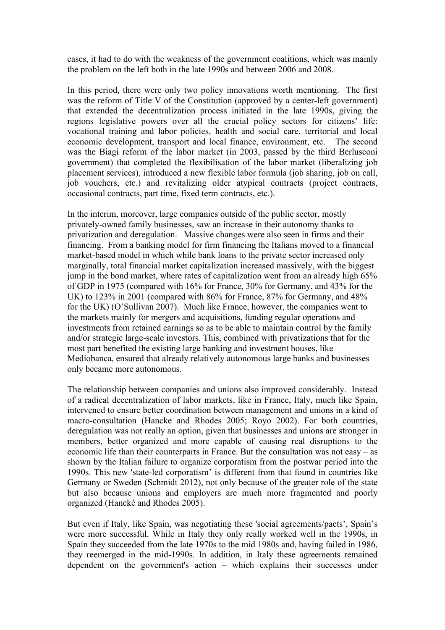cases, it had to do with the weakness of the government coalitions, which was mainly the problem on the left both in the late 1990s and between 2006 and 2008.

In this period, there were only two policy innovations worth mentioning. The first was the reform of Title V of the Constitution (approved by a center-left government) that extended the decentralization process initiated in the late 1990s, giving the regions legislative powers over all the crucial policy sectors for citizens' life: vocational training and labor policies, health and social care, territorial and local economic development, transport and local finance, environment, etc. The second was the Biagi reform of the labor market (in 2003, passed by the third Berlusconi government) that completed the flexibilisation of the labor market (liberalizing job placement services), introduced a new flexible labor formula (job sharing, job on call, job vouchers, etc.) and revitalizing older atypical contracts (project contracts, occasional contracts, part time, fixed term contracts, etc.).

In the interim, moreover, large companies outside of the public sector, mostly privately-owned family businesses, saw an increase in their autonomy thanks to privatization and deregulation. Massive changes were also seen in firms and their financing. From a banking model for firm financing the Italians moved to a financial market-based model in which while bank loans to the private sector increased only marginally, total financial market capitalization increased massively, with the biggest jump in the bond market, where rates of capitalization went from an already high 65% of GDP in 1975 (compared with 16% for France, 30% for Germany, and 43% for the UK) to 123% in 2001 (compared with 86% for France, 87% for Germany, and 48% for the UK) (O'Sullivan 2007). Much like France, however, the companies went to the markets mainly for mergers and acquisitions, funding regular operations and investments from retained earnings so as to be able to maintain control by the family and/or strategic large-scale investors. This, combined with privatizations that for the most part benefited the existing large banking and investment houses, like Mediobanca, ensured that already relatively autonomous large banks and businesses only became more autonomous.

The relationship between companies and unions also improved considerably. Instead of a radical decentralization of labor markets, like in France, Italy, much like Spain, intervened to ensure better coordination between management and unions in a kind of macro-consultation (Hancke and Rhodes 2005; Royo 2002). For both countries, deregulation was not really an option, given that businesses and unions are stronger in members, better organized and more capable of causing real disruptions to the economic life than their counterparts in France. But the consultation was not easy – as shown by the Italian failure to organize corporatism from the postwar period into the 1990s. This new 'state-led corporatism' is different from that found in countries like Germany or Sweden (Schmidt 2012), not only because of the greater role of the state but also because unions and employers are much more fragmented and poorly organized (Hancké and Rhodes 2005).

But even if Italy, like Spain, was negotiating these 'social agreements/pacts', Spain's were more successful. While in Italy they only really worked well in the 1990s, in Spain they succeeded from the late 1970s to the mid 1980s and, having failed in 1986, they reemerged in the mid-1990s. In addition, in Italy these agreements remained dependent on the government's action – which explains their successes under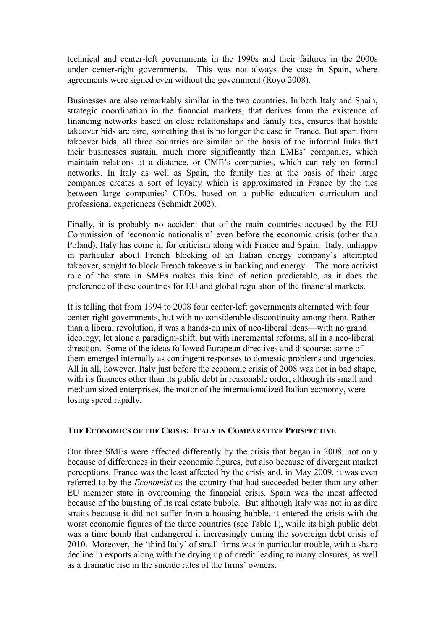technical and center-left governments in the 1990s and their failures in the 2000s under center-right governments. This was not always the case in Spain, where agreements were signed even without the government (Royo 2008).

Businesses are also remarkably similar in the two countries. In both Italy and Spain, strategic coordination in the financial markets, that derives from the existence of financing networks based on close relationships and family ties, ensures that hostile takeover bids are rare, something that is no longer the case in France. But apart from takeover bids, all three countries are similar on the basis of the informal links that their businesses sustain, much more significantly than LMEs' companies, which maintain relations at a distance, or CME's companies, which can rely on formal networks. In Italy as well as Spain, the family ties at the basis of their large companies creates a sort of loyalty which is approximated in France by the ties between large companies' CEOs, based on a public education curriculum and professional experiences (Schmidt 2002).

Finally, it is probably no accident that of the main countries accused by the EU Commission of 'economic nationalism' even before the economic crisis (other than Poland), Italy has come in for criticism along with France and Spain. Italy, unhappy in particular about French blocking of an Italian energy company's attempted takeover, sought to block French takeovers in banking and energy. The more activist role of the state in SMEs makes this kind of action predictable, as it does the preference of these countries for EU and global regulation of the financial markets.

It is telling that from 1994 to 2008 four center-left governments alternated with four center-right governments, but with no considerable discontinuity among them. Rather than a liberal revolution, it was a hands-on mix of neo-liberal ideas—with no grand ideology, let alone a paradigm-shift, but with incremental reforms, all in a neo-liberal direction. Some of the ideas followed European directives and discourse; some of them emerged internally as contingent responses to domestic problems and urgencies. All in all, however, Italy just before the economic crisis of 2008 was not in bad shape, with its finances other than its public debt in reasonable order, although its small and medium sized enterprises, the motor of the internationalized Italian economy, were losing speed rapidly.

## **THE ECONOMICS OF THE CRISIS: ITALY IN COMPARATIVE PERSPECTIVE**

Our three SMEs were affected differently by the crisis that began in 2008, not only because of differences in their economic figures, but also because of divergent market perceptions. France was the least affected by the crisis and, in May 2009, it was even referred to by the *Economist* as the country that had succeeded better than any other EU member state in overcoming the financial crisis. Spain was the most affected because of the bursting of its real estate bubble. But although Italy was not in as dire straits because it did not suffer from a housing bubble, it entered the crisis with the worst economic figures of the three countries (see Table 1), while its high public debt was a time bomb that endangered it increasingly during the sovereign debt crisis of 2010. Moreover, the 'third Italy' of small firms was in particular trouble, with a sharp decline in exports along with the drying up of credit leading to many closures, as well as a dramatic rise in the suicide rates of the firms' owners.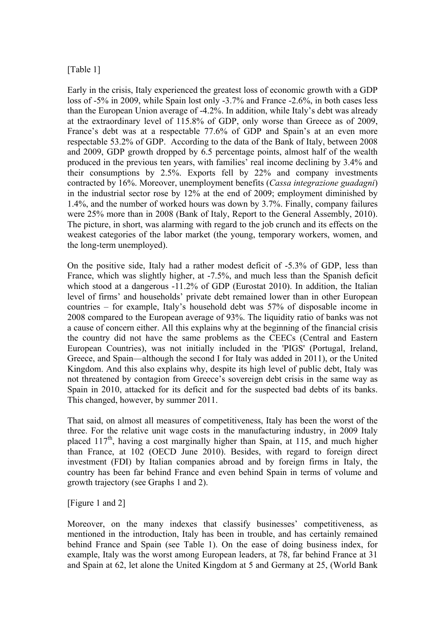## [Table 1]

Early in the crisis, Italy experienced the greatest loss of economic growth with a GDP loss of -5% in 2009, while Spain lost only -3.7% and France -2.6%, in both cases less than the European Union average of -4.2%. In addition, while Italy's debt was already at the extraordinary level of 115.8% of GDP, only worse than Greece as of 2009, France's debt was at a respectable 77.6% of GDP and Spain's at an even more respectable 53.2% of GDP. According to the data of the Bank of Italy, between 2008 and 2009, GDP growth dropped by 6.5 percentage points, almost half of the wealth produced in the previous ten years, with families' real income declining by 3.4% and their consumptions by 2.5%. Exports fell by 22% and company investments contracted by 16%. Moreover, unemployment benefits (*Cassa integrazione guadagni*) in the industrial sector rose by 12% at the end of 2009; employment diminished by 1.4%, and the number of worked hours was down by 3.7%. Finally, company failures were 25% more than in 2008 (Bank of Italy, Report to the General Assembly, 2010). The picture, in short, was alarming with regard to the job crunch and its effects on the weakest categories of the labor market (the young, temporary workers, women, and the long-term unemployed).

On the positive side, Italy had a rather modest deficit of -5.3% of GDP, less than France, which was slightly higher, at -7.5%, and much less than the Spanish deficit which stood at a dangerous -11.2% of GDP (Eurostat 2010). In addition, the Italian level of firms' and households' private debt remained lower than in other European countries – for example, Italy's household debt was 57% of disposable income in 2008 compared to the European average of 93%. The liquidity ratio of banks was not a cause of concern either. All this explains why at the beginning of the financial crisis the country did not have the same problems as the CEECs (Central and Eastern European Countries), was not initially included in the 'PIGS' (Portugal, Ireland, Greece, and Spain—although the second I for Italy was added in 2011), or the United Kingdom. And this also explains why, despite its high level of public debt, Italy was not threatened by contagion from Greece's sovereign debt crisis in the same way as Spain in 2010, attacked for its deficit and for the suspected bad debts of its banks. This changed, however, by summer 2011.

That said, on almost all measures of competitiveness, Italy has been the worst of the three. For the relative unit wage costs in the manufacturing industry, in 2009 Italy placed  $117<sup>th</sup>$ , having a cost marginally higher than Spain, at 115, and much higher than France, at 102 (OECD June 2010). Besides, with regard to foreign direct investment (FDI) by Italian companies abroad and by foreign firms in Italy, the country has been far behind France and even behind Spain in terms of volume and growth trajectory (see Graphs 1 and 2).

[Figure 1 and 2]

Moreover, on the many indexes that classify businesses' competitiveness, as mentioned in the introduction, Italy has been in trouble, and has certainly remained behind France and Spain (see Table 1). On the ease of doing business index, for example, Italy was the worst among European leaders, at 78, far behind France at 31 and Spain at 62, let alone the United Kingdom at 5 and Germany at 25, (World Bank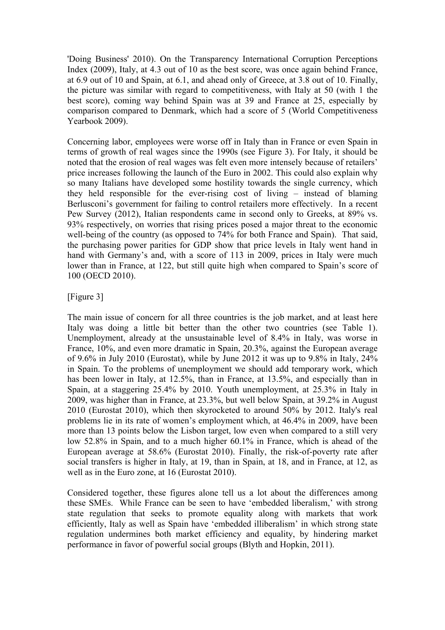'Doing Business' 2010). On the Transparency International Corruption Perceptions Index (2009), Italy, at 4.3 out of 10 as the best score, was once again behind France, at 6.9 out of 10 and Spain, at 6.1, and ahead only of Greece, at 3.8 out of 10. Finally, the picture was similar with regard to competitiveness, with Italy at 50 (with 1 the best score), coming way behind Spain was at 39 and France at 25, especially by comparison compared to Denmark, which had a score of 5 (World Competitiveness Yearbook 2009).

Concerning labor, employees were worse off in Italy than in France or even Spain in terms of growth of real wages since the 1990s (see Figure 3). For Italy, it should be noted that the erosion of real wages was felt even more intensely because of retailers' price increases following the launch of the Euro in 2002. This could also explain why so many Italians have developed some hostility towards the single currency, which they held responsible for the ever-rising cost of living – instead of blaming Berlusconi's government for failing to control retailers more effectively. In a recent Pew Survey (2012), Italian respondents came in second only to Greeks, at 89% vs. 93% respectively, on worries that rising prices posed a major threat to the economic well-being of the country (as opposed to 74% for both France and Spain). That said, the purchasing power parities for GDP show that price levels in Italy went hand in hand with Germany's and, with a score of 113 in 2009, prices in Italy were much lower than in France, at 122, but still quite high when compared to Spain's score of 100 (OECD 2010).

[Figure 3]

The main issue of concern for all three countries is the job market, and at least here Italy was doing a little bit better than the other two countries (see Table 1). Unemployment, already at the unsustainable level of 8.4% in Italy, was worse in France, 10%, and even more dramatic in Spain, 20.3%, against the European average of 9.6% in July 2010 (Eurostat), while by June 2012 it was up to 9.8% in Italy, 24% in Spain. To the problems of unemployment we should add temporary work, which has been lower in Italy, at 12.5%, than in France, at 13.5%, and especially than in Spain, at a staggering 25.4% by 2010. Youth unemployment, at 25.3% in Italy in 2009, was higher than in France, at 23.3%, but well below Spain, at 39.2% in August 2010 (Eurostat 2010), which then skyrocketed to around 50% by 2012. Italy's real problems lie in its rate of women's employment which, at 46.4% in 2009, have been more than 13 points below the Lisbon target, low even when compared to a still very low 52.8% in Spain, and to a much higher 60.1% in France, which is ahead of the European average at 58.6% (Eurostat 2010). Finally, the risk-of-poverty rate after social transfers is higher in Italy, at 19, than in Spain, at 18, and in France, at 12, as well as in the Euro zone, at 16 (Eurostat 2010).

Considered together, these figures alone tell us a lot about the differences among these SMEs. While France can be seen to have 'embedded liberalism,' with strong state regulation that seeks to promote equality along with markets that work efficiently, Italy as well as Spain have 'embedded illiberalism' in which strong state regulation undermines both market efficiency and equality, by hindering market performance in favor of powerful social groups (Blyth and Hopkin, 2011).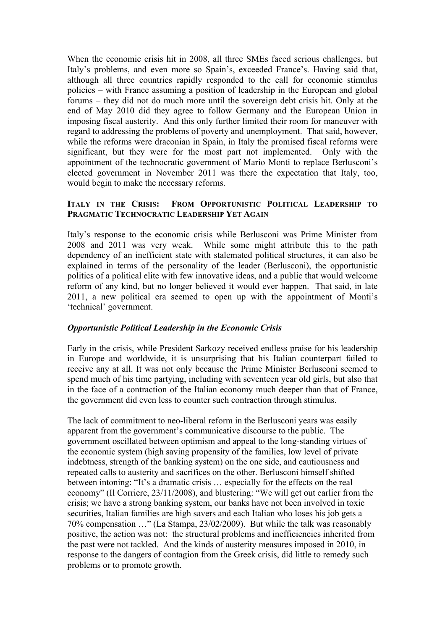When the economic crisis hit in 2008, all three SMEs faced serious challenges, but Italy's problems, and even more so Spain's, exceeded France's. Having said that, although all three countries rapidly responded to the call for economic stimulus policies – with France assuming a position of leadership in the European and global forums – they did not do much more until the sovereign debt crisis hit. Only at the end of May 2010 did they agree to follow Germany and the European Union in imposing fiscal austerity. And this only further limited their room for maneuver with regard to addressing the problems of poverty and unemployment. That said, however, while the reforms were draconian in Spain, in Italy the promised fiscal reforms were significant, but they were for the most part not implemented. Only with the appointment of the technocratic government of Mario Monti to replace Berlusconi's elected government in November 2011 was there the expectation that Italy, too, would begin to make the necessary reforms.

## **ITALY IN THE CRISIS: FROM OPPORTUNISTIC POLITICAL LEADERSHIP TO PRAGMATIC TECHNOCRATIC LEADERSHIP YET AGAIN**

Italy's response to the economic crisis while Berlusconi was Prime Minister from 2008 and 2011 was very weak. While some might attribute this to the path dependency of an inefficient state with stalemated political structures, it can also be explained in terms of the personality of the leader (Berlusconi), the opportunistic politics of a political elite with few innovative ideas, and a public that would welcome reform of any kind, but no longer believed it would ever happen. That said, in late 2011, a new political era seemed to open up with the appointment of Monti's 'technical' government.

# *Opportunistic Political Leadership in the Economic Crisis*

Early in the crisis, while President Sarkozy received endless praise for his leadership in Europe and worldwide, it is unsurprising that his Italian counterpart failed to receive any at all. It was not only because the Prime Minister Berlusconi seemed to spend much of his time partying, including with seventeen year old girls, but also that in the face of a contraction of the Italian economy much deeper than that of France, the government did even less to counter such contraction through stimulus.

The lack of commitment to neo-liberal reform in the Berlusconi years was easily apparent from the government's communicative discourse to the public. The government oscillated between optimism and appeal to the long-standing virtues of the economic system (high saving propensity of the families, low level of private indebtness, strength of the banking system) on the one side, and cautiousness and repeated calls to austerity and sacrifices on the other. Berlusconi himself shifted between intoning: "It's a dramatic crisis … especially for the effects on the real economy" (Il Corriere, 23/11/2008), and blustering: "We will get out earlier from the crisis; we have a strong banking system, our banks have not been involved in toxic securities, Italian families are high savers and each Italian who loses his job gets a 70% compensation …" (La Stampa, 23/02/2009). But while the talk was reasonably positive, the action was not: the structural problems and inefficiencies inherited from the past were not tackled. And the kinds of austerity measures imposed in 2010, in response to the dangers of contagion from the Greek crisis, did little to remedy such problems or to promote growth.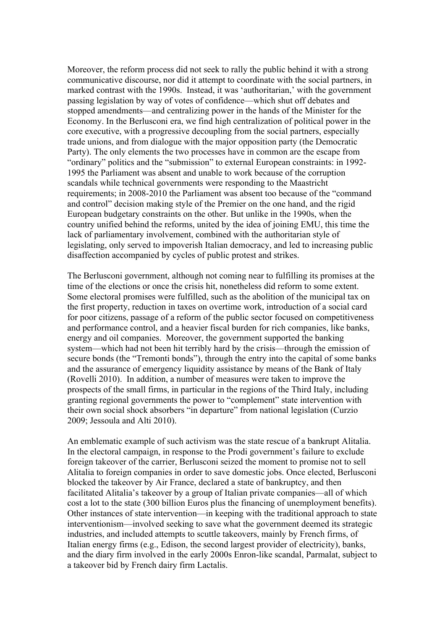Moreover, the reform process did not seek to rally the public behind it with a strong communicative discourse, nor did it attempt to coordinate with the social partners, in marked contrast with the 1990s. Instead, it was 'authoritarian,' with the government passing legislation by way of votes of confidence—which shut off debates and stopped amendments—and centralizing power in the hands of the Minister for the Economy. In the Berlusconi era, we find high centralization of political power in the core executive, with a progressive decoupling from the social partners, especially trade unions, and from dialogue with the major opposition party (the Democratic Party). The only elements the two processes have in common are the escape from "ordinary" politics and the "submission" to external European constraints: in 1992- 1995 the Parliament was absent and unable to work because of the corruption scandals while technical governments were responding to the Maastricht requirements; in 2008-2010 the Parliament was absent too because of the "command and control" decision making style of the Premier on the one hand, and the rigid European budgetary constraints on the other. But unlike in the 1990s, when the country unified behind the reforms, united by the idea of joining EMU, this time the lack of parliamentary involvement, combined with the authoritarian style of legislating, only served to impoverish Italian democracy, and led to increasing public disaffection accompanied by cycles of public protest and strikes.

The Berlusconi government, although not coming near to fulfilling its promises at the time of the elections or once the crisis hit, nonetheless did reform to some extent. Some electoral promises were fulfilled, such as the abolition of the municipal tax on the first property, reduction in taxes on overtime work, introduction of a social card for poor citizens, passage of a reform of the public sector focused on competitiveness and performance control, and a heavier fiscal burden for rich companies, like banks, energy and oil companies. Moreover, the government supported the banking system—which had not been hit terribly hard by the crisis—through the emission of secure bonds (the "Tremonti bonds"), through the entry into the capital of some banks and the assurance of emergency liquidity assistance by means of the Bank of Italy (Rovelli 2010). In addition, a number of measures were taken to improve the prospects of the small firms, in particular in the regions of the Third Italy, including granting regional governments the power to "complement" state intervention with their own social shock absorbers "in departure" from national legislation (Curzio 2009; Jessoula and Alti 2010).

An emblematic example of such activism was the state rescue of a bankrupt Alitalia. In the electoral campaign, in response to the Prodi government's failure to exclude foreign takeover of the carrier, Berlusconi seized the moment to promise not to sell Alitalia to foreign companies in order to save domestic jobs. Once elected, Berlusconi blocked the takeover by Air France, declared a state of bankruptcy, and then facilitated Alitalia's takeover by a group of Italian private companies—all of which cost a lot to the state (300 billion Euros plus the financing of unemployment benefits). Other instances of state intervention—in keeping with the traditional approach to state interventionism—involved seeking to save what the government deemed its strategic industries, and included attempts to scuttle takeovers, mainly by French firms, of Italian energy firms (e.g., Edison, the second largest provider of electricity), banks, and the diary firm involved in the early 2000s Enron-like scandal, Parmalat, subject to a takeover bid by French dairy firm Lactalis.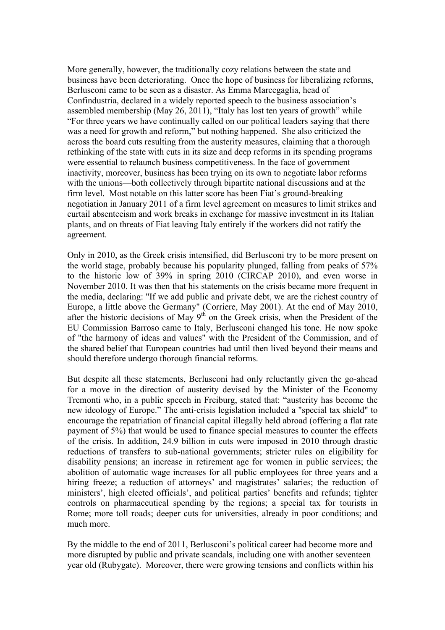More generally, however, the traditionally cozy relations between the state and business have been deteriorating. Once the hope of business for liberalizing reforms, Berlusconi came to be seen as a disaster. As Emma Marcegaglia, head of Confindustria, declared in a widely reported speech to the business association's assembled membership (May 26, 2011), "Italy has lost ten years of growth" while "For three years we have continually called on our political leaders saying that there was a need for growth and reform," but nothing happened. She also criticized the across the board cuts resulting from the austerity measures, claiming that a thorough rethinking of the state with cuts in its size and deep reforms in its spending programs were essential to relaunch business competitiveness. In the face of government inactivity, moreover, business has been trying on its own to negotiate labor reforms with the unions—both collectively through bipartite national discussions and at the firm level. Most notable on this latter score has been Fiat's ground-breaking negotiation in January 2011 of a firm level agreement on measures to limit strikes and curtail absenteeism and work breaks in exchange for massive investment in its Italian plants, and on threats of Fiat leaving Italy entirely if the workers did not ratify the agreement.

Only in 2010, as the Greek crisis intensified, did Berlusconi try to be more present on the world stage, probably because his popularity plunged, falling from peaks of 57% to the historic low of 39% in spring 2010 (CIRCAP 2010), and even worse in November 2010. It was then that his statements on the crisis became more frequent in the media, declaring: "If we add public and private debt, we are the richest country of Europe, a little above the Germany" (Corriere, May 2001). At the end of May 2010, after the historic decisions of May  $9<sup>th</sup>$  on the Greek crisis, when the President of the EU Commission Barroso came to Italy, Berlusconi changed his tone. He now spoke of "the harmony of ideas and values" with the President of the Commission, and of the shared belief that European countries had until then lived beyond their means and should therefore undergo thorough financial reforms.

But despite all these statements, Berlusconi had only reluctantly given the go-ahead for a move in the direction of austerity devised by the Minister of the Economy Tremonti who, in a public speech in Freiburg, stated that: "austerity has become the new ideology of Europe." The anti-crisis legislation included a "special tax shield" to encourage the repatriation of financial capital illegally held abroad (offering a flat rate payment of 5%) that would be used to finance special measures to counter the effects of the crisis. In addition, 24.9 billion in cuts were imposed in 2010 through drastic reductions of transfers to sub-national governments; stricter rules on eligibility for disability pensions; an increase in retirement age for women in public services; the abolition of automatic wage increases for all public employees for three years and a hiring freeze; a reduction of attorneys' and magistrates' salaries; the reduction of ministers', high elected officials', and political parties' benefits and refunds; tighter controls on pharmaceutical spending by the regions; a special tax for tourists in Rome; more toll roads; deeper cuts for universities, already in poor conditions; and much more.

By the middle to the end of 2011, Berlusconi's political career had become more and more disrupted by public and private scandals, including one with another seventeen year old (Rubygate). Moreover, there were growing tensions and conflicts within his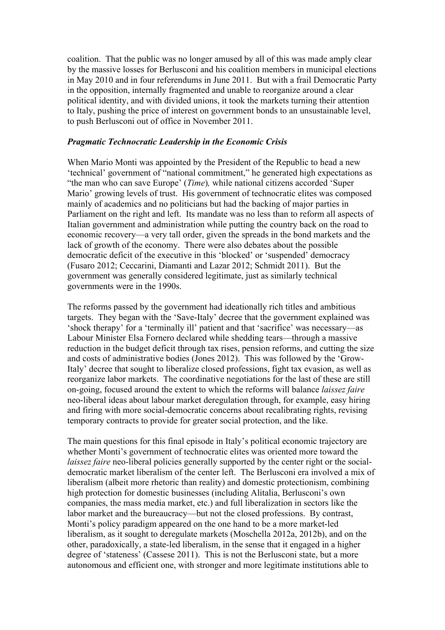coalition. That the public was no longer amused by all of this was made amply clear by the massive losses for Berlusconi and his coalition members in municipal elections in May 2010 and in four referendums in June 2011. But with a frail Democratic Party in the opposition, internally fragmented and unable to reorganize around a clear political identity, and with divided unions, it took the markets turning their attention to Italy, pushing the price of interest on government bonds to an unsustainable level, to push Berlusconi out of office in November 2011.

### *Pragmatic Technocratic Leadership in the Economic Crisis*

When Mario Monti was appointed by the President of the Republic to head a new 'technical' government of "national commitment," he generated high expectations as "the man who can save Europe' (*Time*)*,* while national citizens accorded 'Super Mario' growing levels of trust. His government of technocratic elites was composed mainly of academics and no politicians but had the backing of major parties in Parliament on the right and left. Its mandate was no less than to reform all aspects of Italian government and administration while putting the country back on the road to economic recovery—a very tall order, given the spreads in the bond markets and the lack of growth of the economy. There were also debates about the possible democratic deficit of the executive in this 'blocked' or 'suspended' democracy (Fusaro 2012; Ceccarini, Diamanti and Lazar 2012; Schmidt 2011). But the government was generally considered legitimate, just as similarly technical governments were in the 1990s.

The reforms passed by the government had ideationally rich titles and ambitious targets. They began with the 'Save-Italy' decree that the government explained was 'shock therapy' for a 'terminally ill' patient and that 'sacrifice' was necessary—as Labour Minister Elsa Fornero declared while shedding tears—through a massive reduction in the budget deficit through tax rises, pension reforms, and cutting the size and costs of administrative bodies (Jones 2012). This was followed by the 'Grow-Italy' decree that sought to liberalize closed professions, fight tax evasion, as well as reorganize labor markets. The coordinative negotiations for the last of these are still on-going, focused around the extent to which the reforms will balance *laissez faire*  neo-liberal ideas about labour market deregulation through, for example, easy hiring and firing with more social-democratic concerns about recalibrating rights, revising temporary contracts to provide for greater social protection, and the like.

The main questions for this final episode in Italy's political economic trajectory are whether Monti's government of technocratic elites was oriented more toward the *laissez faire* neo-liberal policies generally supported by the center right or the socialdemocratic market liberalism of the center left. The Berlusconi era involved a mix of liberalism (albeit more rhetoric than reality) and domestic protectionism, combining high protection for domestic businesses (including Alitalia, Berlusconi's own companies, the mass media market, etc.) and full liberalization in sectors like the labor market and the bureaucracy—but not the closed professions. By contrast, Monti's policy paradigm appeared on the one hand to be a more market-led liberalism, as it sought to deregulate markets (Moschella 2012a, 2012b), and on the other, paradoxically, a state-led liberalism, in the sense that it engaged in a higher degree of 'stateness' (Cassese 2011). This is not the Berlusconi state, but a more autonomous and efficient one, with stronger and more legitimate institutions able to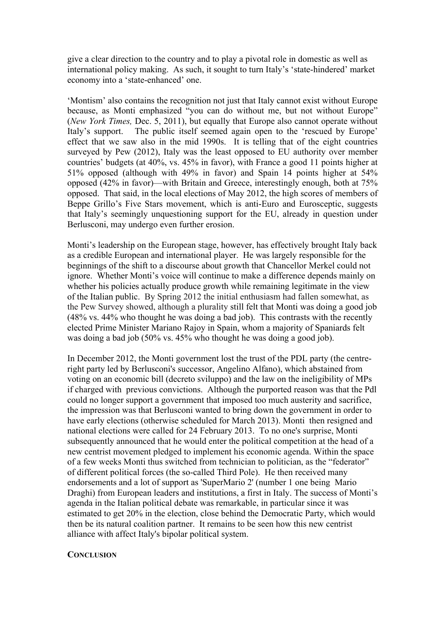give a clear direction to the country and to play a pivotal role in domestic as well as international policy making. As such, it sought to turn Italy's 'state-hindered' market economy into a 'state-enhanced' one.

'Montism' also contains the recognition not just that Italy cannot exist without Europe because, as Monti emphasized "you can do without me, but not without Europe" (*New York Times,* Dec. 5, 2011), but equally that Europe also cannot operate without Italy's support. The public itself seemed again open to the 'rescued by Europe' effect that we saw also in the mid 1990s. It is telling that of the eight countries surveyed by Pew (2012), Italy was the least opposed to EU authority over member countries' budgets (at 40%, vs. 45% in favor), with France a good 11 points higher at 51% opposed (although with 49% in favor) and Spain 14 points higher at 54% opposed (42% in favor)—with Britain and Greece, interestingly enough, both at 75% opposed. That said, in the local elections of May 2012, the high scores of members of Beppe Grillo's Five Stars movement, which is anti-Euro and Eurosceptic, suggests that Italy's seemingly unquestioning support for the EU, already in question under Berlusconi, may undergo even further erosion.

Monti's leadership on the European stage, however, has effectively brought Italy back as a credible European and international player. He was largely responsible for the beginnings of the shift to a discourse about growth that Chancellor Merkel could not ignore. Whether Monti's voice will continue to make a difference depends mainly on whether his policies actually produce growth while remaining legitimate in the view of the Italian public. By Spring 2012 the initial enthusiasm had fallen somewhat, as the Pew Survey showed, although a plurality still felt that Monti was doing a good job (48% vs. 44% who thought he was doing a bad job). This contrasts with the recently elected Prime Minister Mariano Rajoy in Spain, whom a majority of Spaniards felt was doing a bad job (50% vs. 45% who thought he was doing a good job).

In December 2012, the Monti government lost the trust of the PDL party (the centreright party led by Berlusconi's successor, Angelino Alfano), which abstained from voting on an economic bill (decreto sviluppo) and the law on the ineligibility of MPs if charged with previous convictions. Although the purported reason was that the Pdl could no longer support a government that imposed too much austerity and sacrifice, the impression was that Berlusconi wanted to bring down the government in order to have early elections (otherwise scheduled for March 2013). Monti then resigned and national elections were called for 24 February 2013. To no one's surprise, Monti subsequently announced that he would enter the political competition at the head of a new centrist movement pledged to implement his economic agenda. Within the space of a few weeks Monti thus switched from technician to politician, as the "federator" of different political forces (the so-called Third Pole). He then received many endorsements and a lot of support as 'SuperMario 2' (number 1 one being Mario Draghi) from European leaders and institutions, a first in Italy. The success of Monti's agenda in the Italian political debate was remarkable, in particular since it was estimated to get 20% in the election, close behind the Democratic Party, which would then be its natural coalition partner. It remains to be seen how this new centrist alliance with affect Italy's bipolar political system.

### **CONCLUSION**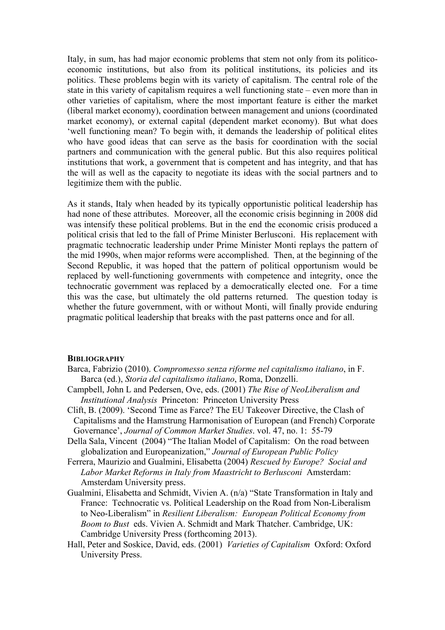Italy, in sum, has had major economic problems that stem not only from its politicoeconomic institutions, but also from its political institutions, its policies and its politics. These problems begin with its variety of capitalism. The central role of the state in this variety of capitalism requires a well functioning state – even more than in other varieties of capitalism, where the most important feature is either the market (liberal market economy), coordination between management and unions (coordinated market economy), or external capital (dependent market economy). But what does 'well functioning mean? To begin with, it demands the leadership of political elites who have good ideas that can serve as the basis for coordination with the social partners and communication with the general public. But this also requires political institutions that work, a government that is competent and has integrity, and that has the will as well as the capacity to negotiate its ideas with the social partners and to legitimize them with the public.

As it stands, Italy when headed by its typically opportunistic political leadership has had none of these attributes. Moreover, all the economic crisis beginning in 2008 did was intensify these political problems. But in the end the economic crisis produced a political crisis that led to the fall of Prime Minister Berlusconi. His replacement with pragmatic technocratic leadership under Prime Minister Monti replays the pattern of the mid 1990s, when major reforms were accomplished. Then, at the beginning of the Second Republic, it was hoped that the pattern of political opportunism would be replaced by well-functioning governments with competence and integrity, once the technocratic government was replaced by a democratically elected one. For a time this was the case, but ultimately the old patterns returned. The question today is whether the future government, with or without Monti, will finally provide enduring pragmatic political leadership that breaks with the past patterns once and for all.

#### **BIBLIOGRAPHY**

- Barca, Fabrizio (2010). *Compromesso senza riforme nel capitalismo italiano*, in F. Barca (ed.), *Storia del capitalismo italiano*, Roma, Donzelli.
- Campbell, John L and Pedersen, Ove, eds. (2001) *The Rise of NeoLiberalism and Institutional Analysis* Princeton: Princeton University Press
- Clift, B. (2009). 'Second Time as Farce? The EU Takeover Directive, the Clash of Capitalisms and the Hamstrung Harmonisation of European (and French) Corporate Governance', *Journal of Common Market Studies*. vol. 47, no. 1: 55-79
- Della Sala, Vincent (2004) "The Italian Model of Capitalism: On the road between globalization and Europeanization," *Journal of European Public Policy*
- Ferrera, Maurizio and Gualmini, Elisabetta (2004) *Rescued by Europe? Social and Labor Market Reforms in Italy from Maastricht to Berlusconi* Amsterdam: Amsterdam University press.
- Gualmini, Elisabetta and Schmidt, Vivien A. (n/a) "State Transformation in Italy and France: Technocratic vs. Political Leadership on the Road from Non-Liberalism to Neo-Liberalism" in *Resilient Liberalism: European Political Economy from Boom to Bust* eds. Vivien A. Schmidt and Mark Thatcher. Cambridge, UK: Cambridge University Press (forthcoming 2013).
- Hall, Peter and Soskice, David, eds. (2001) *Varieties of Capitalism* Oxford: Oxford University Press.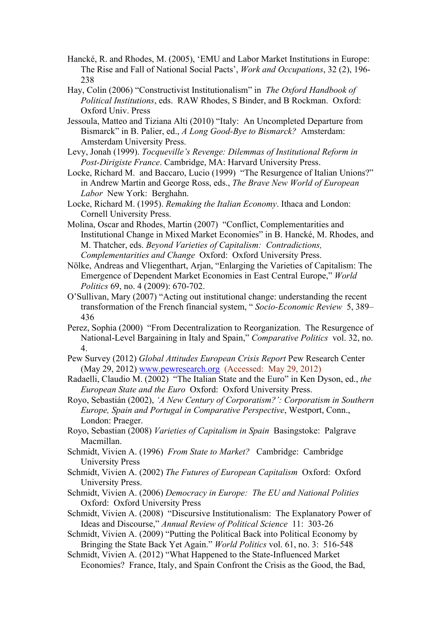- Hancké, R. and Rhodes, M. (2005), 'EMU and Labor Market Institutions in Europe: The Rise and Fall of National Social Pacts', *Work and Occupations*, 32 (2), 196- 238
- Hay, Colin (2006) "Constructivist Institutionalism" in *The Oxford Handbook of Political Institutions*, eds. RAW Rhodes, S Binder, and B Rockman. Oxford: Oxford Univ. Press
- Jessoula, Matteo and Tiziana Alti (2010) "Italy: An Uncompleted Departure from Bismarck" in B. Palier, ed., *A Long Good-Bye to Bismarck?* Amsterdam: Amsterdam University Press.
- Levy, Jonah (1999). *Tocqueville's Revenge: Dilemmas of Institutional Reform in Post-Dirigiste France*. Cambridge, MA: Harvard University Press.
- Locke, Richard M. and Baccaro, Lucio (1999) "The Resurgence of Italian Unions?" in Andrew Martin and George Ross, eds., *The Brave New World of European Labor* New York: Berghahn.
- Locke, Richard M. (1995). *Remaking the Italian Economy*. Ithaca and London: Cornell University Press.
- Molina, Oscar and Rhodes, Martin (2007) "Conflict, Complementarities and Institutional Change in Mixed Market Economies" in B. Hancké, M. Rhodes, and M. Thatcher, eds. *Beyond Varieties of Capitalism: Contradictions, Complementarities and Change* Oxford: Oxford University Press.
- Nölke, Andreas and Vliegenthart, Arjan, "Enlarging the Varieties of Capitalism: The Emergence of Dependent Market Economies in East Central Europe," *World Politics* 69, no. 4 (2009): 670-702.
- O'Sullivan, Mary (2007) "Acting out institutional change: understanding the recent transformation of the French financial system, " *Socio-Economic Review* 5, 389– 436
- Perez, Sophia (2000) "From Decentralization to Reorganization. The Resurgence of National-Level Bargaining in Italy and Spain," *Comparative Politics* vol. 32, no. 4.
- Pew Survey (2012) *Global Attitudes European Crisis Report* Pew Research Center (May 29, 2012) www.pewresearch.org (Accessed: May 29, 2012)
- Radaelli, Claudio M. (2002) "The Italian State and the Euro" in Ken Dyson, ed., *the European State and the Euro* Oxford: Oxford University Press.
- Royo, Sebastián (2002), *'A New Century of Corporatism?': Corporatism in Southern Europe, Spain and Portugal in Comparative Perspective*, Westport, Conn., London: Praeger.
- Royo, Sebastian (2008) *Varieties of Capitalism in Spain* Basingstoke: Palgrave Macmillan.
- Schmidt, Vivien A. (1996) *From State to Market?* Cambridge: Cambridge University Press
- Schmidt, Vivien A. (2002) *The Futures of European Capitalism* Oxford: Oxford University Press.
- Schmidt, Vivien A. (2006) *Democracy in Europe: The EU and National Polities* Oxford: Oxford University Press
- Schmidt, Vivien A. (2008) "Discursive Institutionalism: The Explanatory Power of Ideas and Discourse," *Annual Review of Political Science* 11: 303-26
- Schmidt, Vivien A. (2009) "Putting the Political Back into Political Economy by Bringing the State Back Yet Again." *World Politics* vol. 61, no. 3: 516-548
- Schmidt, Vivien A. (2012) "What Happened to the State-Influenced Market Economies? France, Italy, and Spain Confront the Crisis as the Good, the Bad,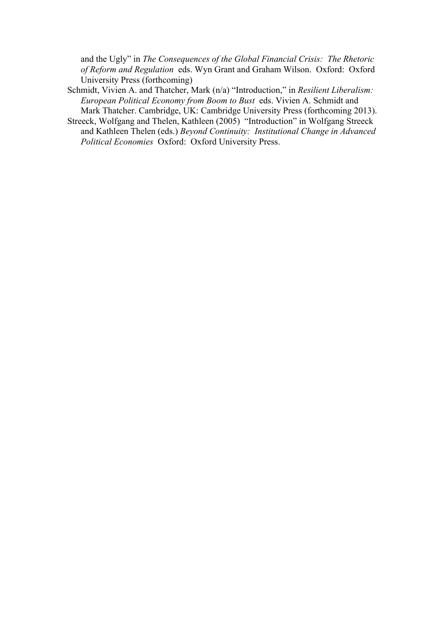and the Ugly" in *The Consequences of the Global Financial Crisis: The Rhetoric of Reform and Regulation* eds. Wyn Grant and Graham Wilson. Oxford: Oxford University Press (forthcoming)

- Schmidt, Vivien A. and Thatcher, Mark (n/a) "Introduction," in *Resilient Liberalism*: *European Political Economy from Boom to Bust* eds. Vivien A. Schmidt and Mark Thatcher. Cambridge, UK: Cambridge University Press (forthcoming 2013).
- Streeck, Wolfgang and Thelen, Kathleen (2005) "Introduction" in Wolfgang Streeck and Kathleen Thelen (eds.) *Beyond Continuity: Institutional Change in Advanced Political Economies* Oxford: Oxford University Press.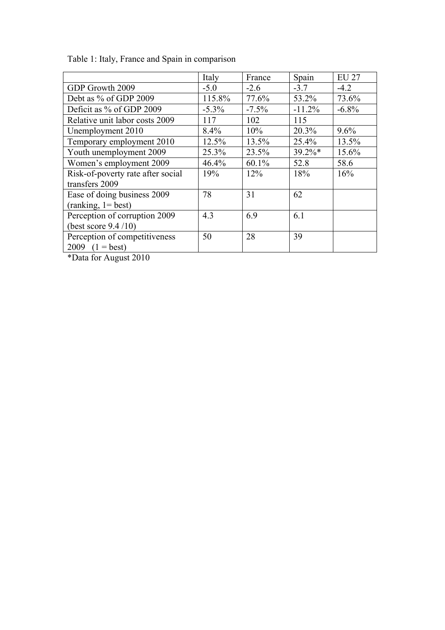|                                   | Italy    | France  | Spain     | <b>EU 27</b> |
|-----------------------------------|----------|---------|-----------|--------------|
| GDP Growth 2009                   | $-5.0$   | $-2.6$  | $-3.7$    | $-4.2$       |
| Debt as % of GDP 2009             | 115.8%   | 77.6%   | 53.2%     | 73.6%        |
| Deficit as % of GDP 2009          | $-5.3\%$ | $-7.5%$ | $-11.2%$  | $-6.8\%$     |
| Relative unit labor costs 2009    | 117      | 102     | 115       |              |
| Unemployment 2010                 | 8.4%     | 10%     | 20.3%     | 9.6%         |
| Temporary employment 2010         | 12.5%    | 13.5%   | 25.4%     | 13.5%        |
| Youth unemployment 2009           | 25.3%    | 23.5%   | $39.2\%*$ | 15.6%        |
| Women's employment 2009           | 46.4%    | 60.1%   | 52.8      | 58.6         |
| Risk-of-poverty rate after social | 19%      | 12%     | 18%       | 16%          |
| transfers 2009                    |          |         |           |              |
| Ease of doing business 2009       | 78       | 31      | 62        |              |
| $(ranking, 1 = best)$             |          |         |           |              |
| Perception of corruption 2009     | 4.3      | 6.9     | 6.1       |              |
| (best score $9.4/10$ )            |          |         |           |              |
| Perception of competitiveness     | 50       | 28      | 39        |              |
| 2009 $(1 = best)$                 |          |         |           |              |

Table 1: Italy, France and Spain in comparison

\*Data for August 2010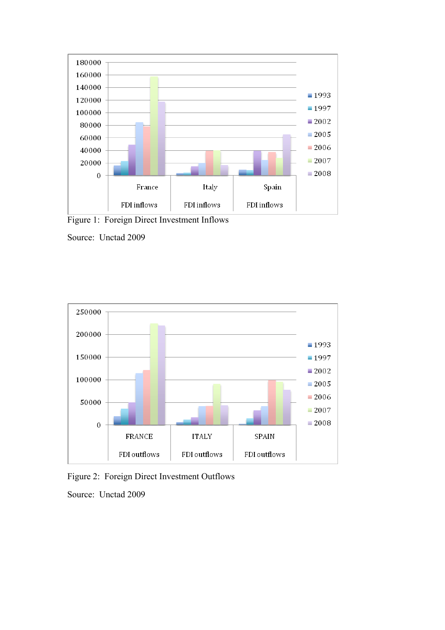

Figure 1: Foreign Direct Investment Inflows

Source: Unctad 2009



Figure 2: Foreign Direct Investment Outflows

Source: Unctad 2009